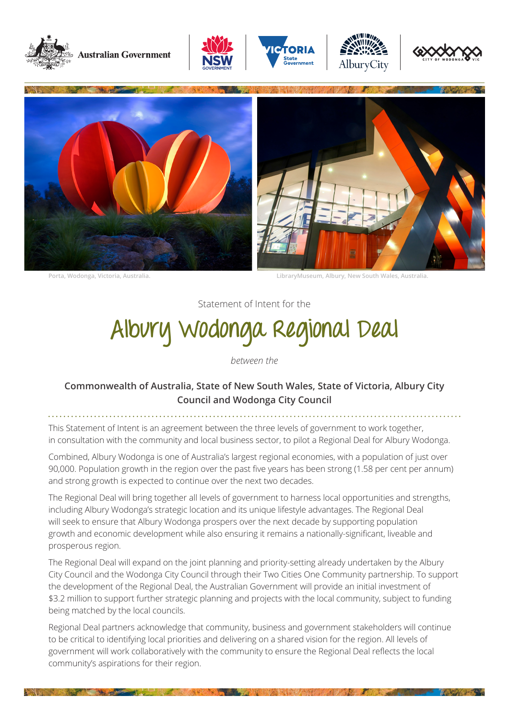











**Porta, Wodonga, Victoria, Australia. LibraryMuseum, Albury, New South Wales, Australia.**

Statement of Intent for the

# **Albury Wodonga Regional Deal**

*between the*

# **Commonwealth of Australia, State of New South Wales, State of Victoria, Albury City Council and Wodonga City Council**

This Statement of Intent is an agreement between the three levels of government to work together, in consultation with the community and local business sector, to pilot a Regional Deal for Albury Wodonga.

Combined, Albury Wodonga is one of Australia's largest regional economies, with a population of just over 90,000. Population growth in the region over the past five years has been strong (1.58 per cent per annum) and strong growth is expected to continue over the next two decades.

The Regional Deal will bring together all levels of government to harness local opportunities and strengths, including Albury Wodonga's strategic location and its unique lifestyle advantages. The Regional Deal will seek to ensure that Albury Wodonga prospers over the next decade by supporting population growth and economic development while also ensuring it remains a nationally-significant, liveable and prosperous region.

The Regional Deal will expand on the joint planning and priority-setting already undertaken by the Albury City Council and the Wodonga City Council through their Two Cities One Community partnership. To support the development of the Regional Deal, the Australian Government will provide an initial investment of \$3.2 million to support further strategic planning and projects with the local community, subject to funding being matched by the local councils.

Regional Deal partners acknowledge that community, business and government stakeholders will continue to be critical to identifying local priorities and delivering on a shared vision for the region. All levels of government will work collaboratively with the community to ensure the Regional Deal reflects the local community's aspirations for their region.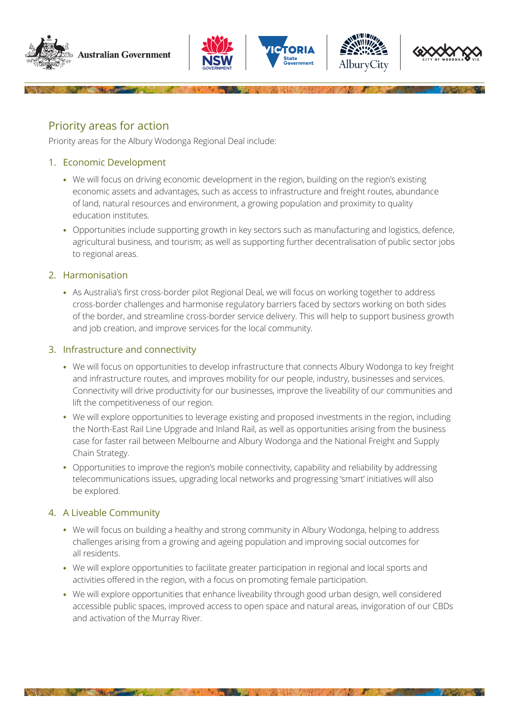









Priority areas for action

Priority areas for the Albury Wodonga Regional Deal include:

#### 1. Economic Development

- **•** We will focus on driving economic development in the region, building on the region's existing economic assets and advantages, such as access to infrastructure and freight routes, abundance of land, natural resources and environment, a growing population and proximity to quality education institutes.
- **•** Opportunities include supporting growth in key sectors such as manufacturing and logistics, defence, agricultural business, and tourism; as well as supporting further decentralisation of public sector jobs to regional areas.

### 2. Harmonisation

**•** As Australia's first cross-border pilot Regional Deal, we will focus on working together to address cross-border challenges and harmonise regulatory barriers faced by sectors working on both sides of the border, and streamline cross-border service delivery. This will help to support business growth and job creation, and improve services for the local community.

### 3. Infrastructure and connectivity

- **•** We will focus on opportunities to develop infrastructure that connects Albury Wodonga to key freight and infrastructure routes, and improves mobility for our people, industry, businesses and services. Connectivity will drive productivity for our businesses, improve the liveability of our communities and lift the competitiveness of our region.
- **•** We will explore opportunities to leverage existing and proposed investments in the region, including the North-East Rail Line Upgrade and Inland Rail, as well as opportunities arising from the business case for faster rail between Melbourne and Albury Wodonga and the National Freight and Supply Chain Strategy.
- Opportunities to improve the region's mobile connectivity, capability and reliability by addressing telecommunications issues, upgrading local networks and progressing 'smart' initiatives will also be explored.

## 4. A Liveable Community

- **•** We will focus on building a healthy and strong community in Albury Wodonga, helping to address challenges arising from a growing and ageing population and improving social outcomes for all residents.
- **•** We will explore opportunities to facilitate greater participation in regional and local sports and activities offered in the region, with a focus on promoting female participation.
- **•** We will explore opportunities that enhance liveability through good urban design, well considered accessible public spaces, improved access to open space and natural areas, invigoration of our CBDs and activation of the Murray River.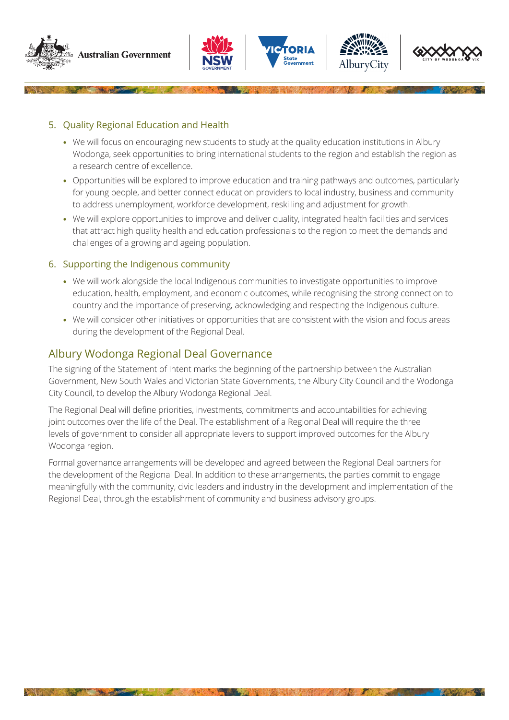









5. Quality Regional Education and Health

- **•** We will focus on encouraging new students to study at the quality education institutions in Albury Wodonga, seek opportunities to bring international students to the region and establish the region as a research centre of excellence.
- **•** Opportunities will be explored to improve education and training pathways and outcomes, particularly for young people, and better connect education providers to local industry, business and community to address unemployment, workforce development, reskilling and adjustment for growth.
- **•** We will explore opportunities to improve and deliver quality, integrated health facilities and services that attract high quality health and education professionals to the region to meet the demands and challenges of a growing and ageing population.

#### 6. Supporting the Indigenous community

- **•** We will work alongside the local Indigenous communities to investigate opportunities to improve education, health, employment, and economic outcomes, while recognising the strong connection to country and the importance of preserving, acknowledging and respecting the Indigenous culture.
- **•** We will consider other initiatives or opportunities that are consistent with the vision and focus areas during the development of the Regional Deal.

# Albury Wodonga Regional Deal Governance

The signing of the Statement of Intent marks the beginning of the partnership between the Australian Government, New South Wales and Victorian State Governments, the Albury City Council and the Wodonga City Council, to develop the Albury Wodonga Regional Deal.

The Regional Deal will define priorities, investments, commitments and accountabilities for achieving joint outcomes over the life of the Deal. The establishment of a Regional Deal will require the three levels of government to consider all appropriate levers to support improved outcomes for the Albury Wodonga region.

Formal governance arrangements will be developed and agreed between the Regional Deal partners for the development of the Regional Deal. In addition to these arrangements, the parties commit to engage meaningfully with the community, civic leaders and industry in the development and implementation of the Regional Deal, through the establishment of community and business advisory groups.